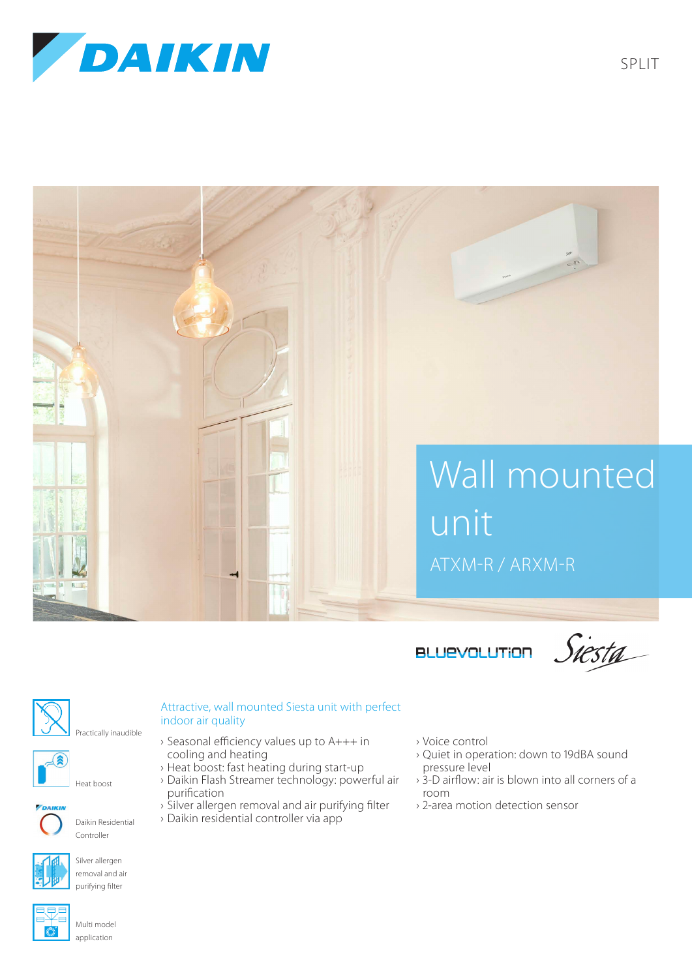



**BLUEVOLUTION** 

Siesta



(R

Attractive, wall mounted Siesta unit with perfect indoor air quality

- › Seasonal efficiency values up to A+++ in cooling and heating
	- › Heat boost: fast heating during start-up
	- › Daikin Flash Streamer technology: powerful air purification
		-
	- › Silver allergen removal and air purifying filter › Daikin residential controller via app
- › Voice control
- › Quiet in operation: down to 19dBA sound pressure level
- › 3-D airflow: air is blown into all corners of a room
- › 2-area motion detection sensor



purifying filter

Daikin Residential Controller

Heat boost



Multi model application